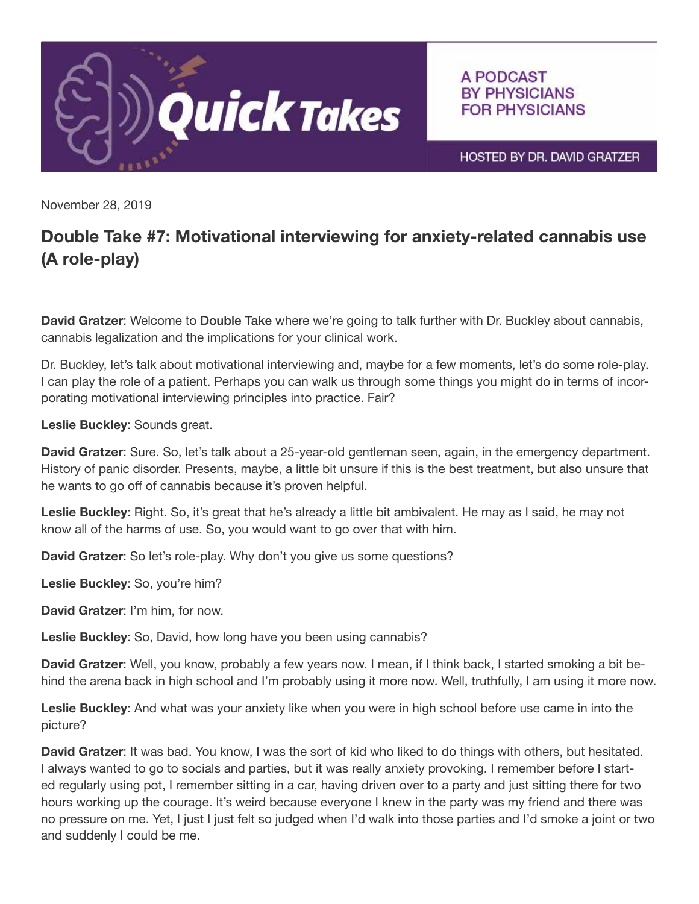

A PODCAST **BY PHYSICIANS FOR PHYSICIANS** 

HOSTED BY DR. DAVID GRATZER

November 28, 2019

## Double Take #7: Motivational interviewing for anxiety-related cannabis use (A role-play)

David Gratzer: Welcome to Double Take where we're going to talk further with Dr. Buckley about cannabis, cannabis legalization and the implications for your clinical work.

Dr. Buckley, let's talk about motivational interviewing and, maybe for a few moments, let's do some role-play. I can play the role of a patient. Perhaps you can walk us through some things you might do in terms of incorporating motivational interviewing principles into practice. Fair?

Leslie Buckley: Sounds great.

David Gratzer: Sure. So, let's talk about a 25-year-old gentleman seen, again, in the emergency department. History of panic disorder. Presents, maybe, a little bit unsure if this is the best treatment, but also unsure that he wants to go off of cannabis because it's proven helpful.

Leslie Buckley: Right. So, it's great that he's already a little bit ambivalent. He may as I said, he may not know all of the harms of use. So, you would want to go over that with him.

David Gratzer: So let's role-play. Why don't you give us some questions?

Leslie Buckley: So, you're him?

David Gratzer: I'm him, for now.

Leslie Buckley: So, David, how long have you been using cannabis?

David Gratzer: Well, you know, probably a few years now. I mean, if I think back, I started smoking a bit behind the arena back in high school and I'm probably using it more now. Well, truthfully, I am using it more now.

Leslie Buckley: And what was your anxiety like when you were in high school before use came in into the picture?

David Gratzer: It was bad. You know, I was the sort of kid who liked to do things with others, but hesitated. I always wanted to go to socials and parties, but it was really anxiety provoking. I remember before I started regularly using pot, I remember sitting in a car, having driven over to a party and just sitting there for two hours working up the courage. It's weird because everyone I knew in the party was my friend and there was no pressure on me. Yet, I just I just felt so judged when I'd walk into those parties and I'd smoke a joint or two and suddenly I could be me.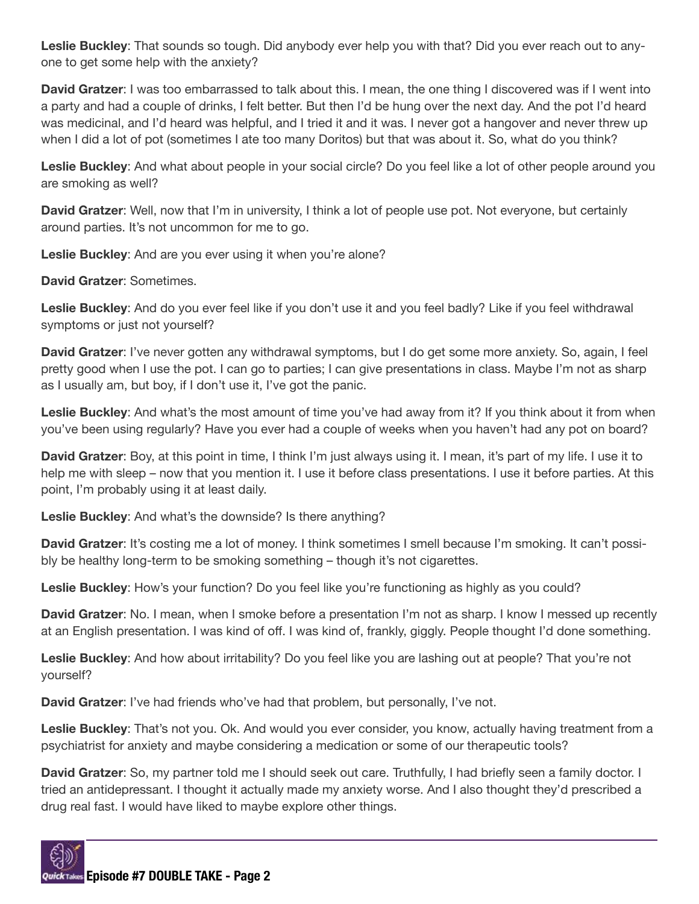Leslie Buckley: That sounds so tough. Did anybody ever help you with that? Did you ever reach out to anyone to get some help with the anxiety?

David Gratzer: I was too embarrassed to talk about this. I mean, the one thing I discovered was if I went into a party and had a couple of drinks, I felt better. But then I'd be hung over the next day. And the pot I'd heard was medicinal, and I'd heard was helpful, and I tried it and it was. I never got a hangover and never threw up when I did a lot of pot (sometimes I ate too many Doritos) but that was about it. So, what do you think?

Leslie Buckley: And what about people in your social circle? Do you feel like a lot of other people around you are smoking as well?

David Gratzer: Well, now that I'm in university, I think a lot of people use pot. Not everyone, but certainly around parties. It's not uncommon for me to go.

Leslie Buckley: And are you ever using it when you're alone?

David Gratzer: Sometimes.

Leslie Buckley: And do you ever feel like if you don't use it and you feel badly? Like if you feel withdrawal symptoms or just not yourself?

David Gratzer: I've never gotten any withdrawal symptoms, but I do get some more anxiety. So, again, I feel pretty good when I use the pot. I can go to parties; I can give presentations in class. Maybe I'm not as sharp as I usually am, but boy, if I don't use it, I've got the panic.

Leslie Buckley: And what's the most amount of time you've had away from it? If you think about it from when you've been using regularly? Have you ever had a couple of weeks when you haven't had any pot on board?

David Gratzer: Boy, at this point in time, I think I'm just always using it. I mean, it's part of my life. I use it to help me with sleep – now that you mention it. I use it before class presentations. I use it before parties. At this point, I'm probably using it at least daily.

Leslie Buckley: And what's the downside? Is there anything?

David Gratzer: It's costing me a lot of money. I think sometimes I smell because I'm smoking. It can't possibly be healthy long-term to be smoking something – though it's not cigarettes.

Leslie Buckley: How's your function? Do you feel like you're functioning as highly as you could?

David Gratzer: No. I mean, when I smoke before a presentation I'm not as sharp. I know I messed up recently at an English presentation. I was kind of off. I was kind of, frankly, giggly. People thought I'd done something.

Leslie Buckley: And how about irritability? Do you feel like you are lashing out at people? That you're not yourself?

David Gratzer: I've had friends who've had that problem, but personally, I've not.

Leslie Buckley: That's not you. Ok. And would you ever consider, you know, actually having treatment from a psychiatrist for anxiety and maybe considering a medication or some of our therapeutic tools?

David Gratzer: So, my partner told me I should seek out care. Truthfully, I had briefly seen a family doctor. I tried an antidepressant. I thought it actually made my anxiety worse. And I also thought they'd prescribed a drug real fast. I would have liked to maybe explore other things.

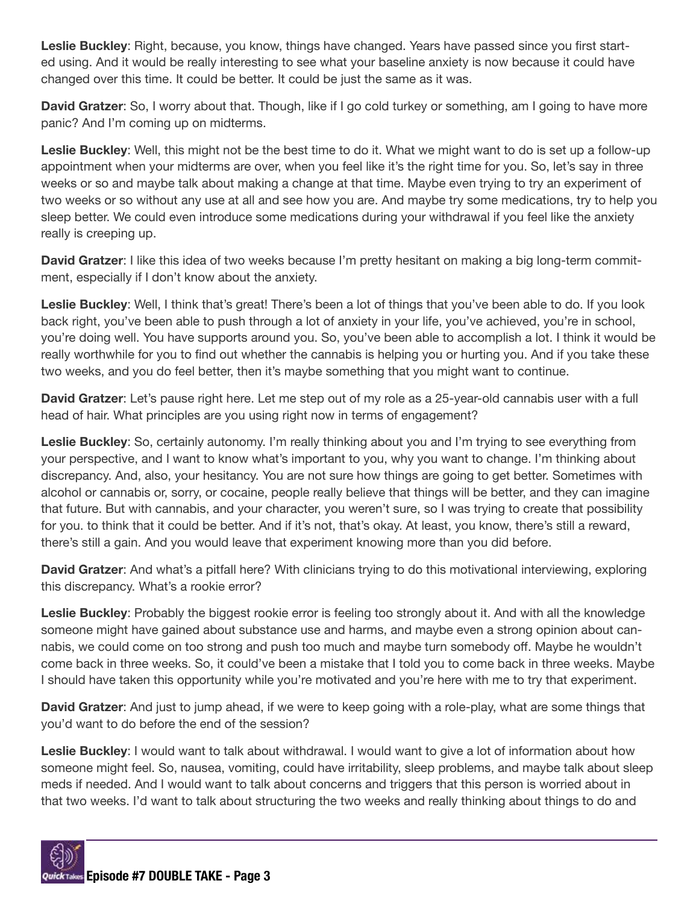Leslie Buckley: Right, because, you know, things have changed. Years have passed since you first started using. And it would be really interesting to see what your baseline anxiety is now because it could have changed over this time. It could be better. It could be just the same as it was.

David Gratzer: So, I worry about that. Though, like if I go cold turkey or something, am I going to have more panic? And I'm coming up on midterms.

Leslie Buckley: Well, this might not be the best time to do it. What we might want to do is set up a follow-up appointment when your midterms are over, when you feel like it's the right time for you. So, let's say in three weeks or so and maybe talk about making a change at that time. Maybe even trying to try an experiment of two weeks or so without any use at all and see how you are. And maybe try some medications, try to help you sleep better. We could even introduce some medications during your withdrawal if you feel like the anxiety really is creeping up.

David Gratzer: I like this idea of two weeks because I'm pretty hesitant on making a big long-term commitment, especially if I don't know about the anxiety.

Leslie Buckley: Well, I think that's great! There's been a lot of things that you've been able to do. If you look back right, you've been able to push through a lot of anxiety in your life, you've achieved, you're in school, you're doing well. You have supports around you. So, you've been able to accomplish a lot. I think it would be really worthwhile for you to find out whether the cannabis is helping you or hurting you. And if you take these two weeks, and you do feel better, then it's maybe something that you might want to continue.

David Gratzer: Let's pause right here. Let me step out of my role as a 25-year-old cannabis user with a full head of hair. What principles are you using right now in terms of engagement?

Leslie Buckley: So, certainly autonomy. I'm really thinking about you and I'm trying to see everything from your perspective, and I want to know what's important to you, why you want to change. I'm thinking about discrepancy. And, also, your hesitancy. You are not sure how things are going to get better. Sometimes with alcohol or cannabis or, sorry, or cocaine, people really believe that things will be better, and they can imagine that future. But with cannabis, and your character, you weren't sure, so I was trying to create that possibility for you. to think that it could be better. And if it's not, that's okay. At least, you know, there's still a reward, there's still a gain. And you would leave that experiment knowing more than you did before.

David Gratzer: And what's a pitfall here? With clinicians trying to do this motivational interviewing, exploring this discrepancy. What's a rookie error?

Leslie Buckley: Probably the biggest rookie error is feeling too strongly about it. And with all the knowledge someone might have gained about substance use and harms, and maybe even a strong opinion about cannabis, we could come on too strong and push too much and maybe turn somebody off. Maybe he wouldn't come back in three weeks. So, it could've been a mistake that I told you to come back in three weeks. Maybe I should have taken this opportunity while you're motivated and you're here with me to try that experiment.

David Gratzer: And just to jump ahead, if we were to keep going with a role-play, what are some things that you'd want to do before the end of the session?

Leslie Buckley: I would want to talk about withdrawal. I would want to give a lot of information about how someone might feel. So, nausea, vomiting, could have irritability, sleep problems, and maybe talk about sleep meds if needed. And I would want to talk about concerns and triggers that this person is worried about in that two weeks. I'd want to talk about structuring the two weeks and really thinking about things to do and